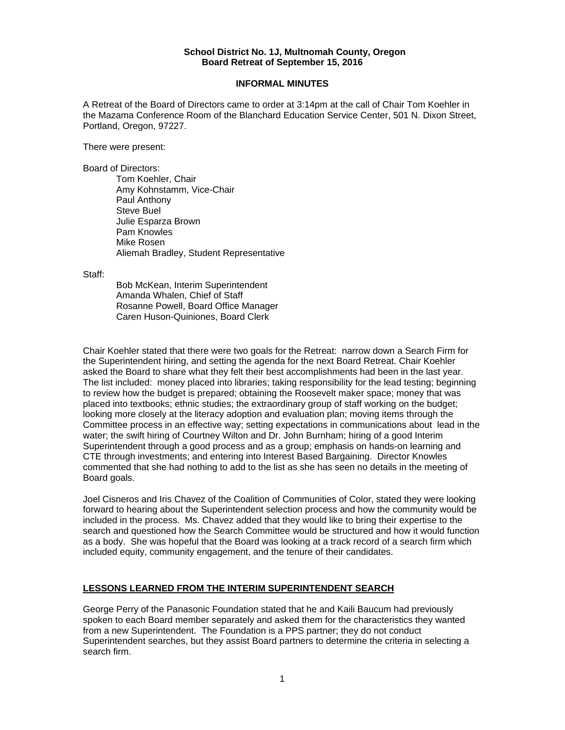### **School District No. 1J, Multnomah County, Oregon Board Retreat of September 15, 2016**

## **INFORMAL MINUTES**

A Retreat of the Board of Directors came to order at 3:14pm at the call of Chair Tom Koehler in the Mazama Conference Room of the Blanchard Education Service Center, 501 N. Dixon Street, Portland, Oregon, 97227.

There were present:

Board of Directors:

Tom Koehler, Chair Amy Kohnstamm, Vice-Chair Paul Anthony Steve Buel Julie Esparza Brown Pam Knowles Mike Rosen Aliemah Bradley, Student Representative

Staff:

 Bob McKean, Interim Superintendent Amanda Whalen, Chief of Staff Rosanne Powell, Board Office Manager Caren Huson-Quiniones, Board Clerk

Chair Koehler stated that there were two goals for the Retreat: narrow down a Search Firm for the Superintendent hiring, and setting the agenda for the next Board Retreat. Chair Koehler asked the Board to share what they felt their best accomplishments had been in the last year. The list included: money placed into libraries; taking responsibility for the lead testing; beginning to review how the budget is prepared; obtaining the Roosevelt maker space; money that was placed into textbooks; ethnic studies; the extraordinary group of staff working on the budget; looking more closely at the literacy adoption and evaluation plan; moving items through the Committee process in an effective way; setting expectations in communications about lead in the water; the swift hiring of Courtney Wilton and Dr. John Burnham; hiring of a good Interim Superintendent through a good process and as a group; emphasis on hands-on learning and CTE through investments; and entering into Interest Based Bargaining. Director Knowles commented that she had nothing to add to the list as she has seen no details in the meeting of Board goals.

Joel Cisneros and Iris Chavez of the Coalition of Communities of Color, stated they were looking forward to hearing about the Superintendent selection process and how the community would be included in the process. Ms. Chavez added that they would like to bring their expertise to the search and questioned how the Search Committee would be structured and how it would function as a body. She was hopeful that the Board was looking at a track record of a search firm which included equity, community engagement, and the tenure of their candidates.

# **LESSONS LEARNED FROM THE INTERIM SUPERINTENDENT SEARCH**

George Perry of the Panasonic Foundation stated that he and Kaili Baucum had previously spoken to each Board member separately and asked them for the characteristics they wanted from a new Superintendent. The Foundation is a PPS partner; they do not conduct Superintendent searches, but they assist Board partners to determine the criteria in selecting a search firm.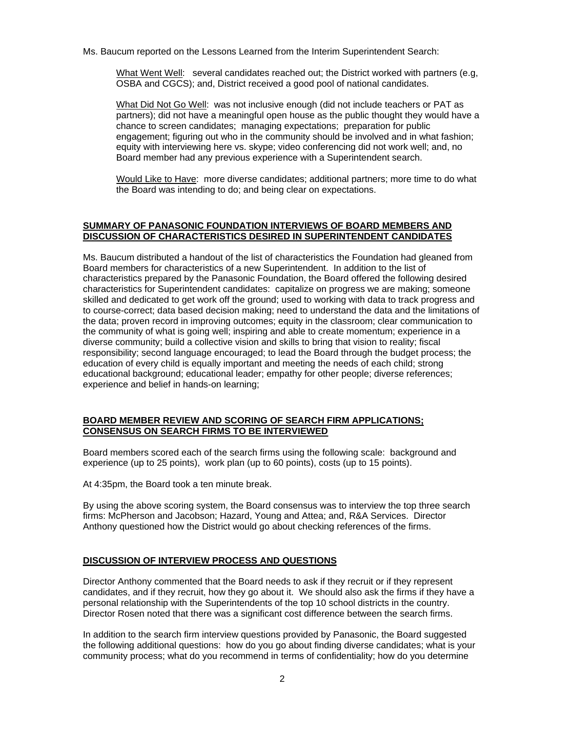Ms. Baucum reported on the Lessons Learned from the Interim Superintendent Search:

What Went Well: several candidates reached out; the District worked with partners (e.g, OSBA and CGCS); and, District received a good pool of national candidates.

What Did Not Go Well: was not inclusive enough (did not include teachers or PAT as partners); did not have a meaningful open house as the public thought they would have a chance to screen candidates; managing expectations; preparation for public engagement; figuring out who in the community should be involved and in what fashion; equity with interviewing here vs. skype; video conferencing did not work well; and, no Board member had any previous experience with a Superintendent search.

Would Like to Have: more diverse candidates; additional partners; more time to do what the Board was intending to do; and being clear on expectations.

## **SUMMARY OF PANASONIC FOUNDATION INTERVIEWS OF BOARD MEMBERS AND DISCUSSION OF CHARACTERISTICS DESIRED IN SUPERINTENDENT CANDIDATES**

Ms. Baucum distributed a handout of the list of characteristics the Foundation had gleaned from Board members for characteristics of a new Superintendent. In addition to the list of characteristics prepared by the Panasonic Foundation, the Board offered the following desired characteristics for Superintendent candidates: capitalize on progress we are making; someone skilled and dedicated to get work off the ground; used to working with data to track progress and to course-correct; data based decision making; need to understand the data and the limitations of the data; proven record in improving outcomes; equity in the classroom; clear communication to the community of what is going well; inspiring and able to create momentum; experience in a diverse community; build a collective vision and skills to bring that vision to reality; fiscal responsibility; second language encouraged; to lead the Board through the budget process; the education of every child is equally important and meeting the needs of each child; strong educational background; educational leader; empathy for other people; diverse references; experience and belief in hands-on learning;

## **BOARD MEMBER REVIEW AND SCORING OF SEARCH FIRM APPLICATIONS; CONSENSUS ON SEARCH FIRMS TO BE INTERVIEWED**

Board members scored each of the search firms using the following scale: background and experience (up to 25 points), work plan (up to 60 points), costs (up to 15 points).

At 4:35pm, the Board took a ten minute break.

By using the above scoring system, the Board consensus was to interview the top three search firms: McPherson and Jacobson; Hazard, Young and Attea; and, R&A Services. Director Anthony questioned how the District would go about checking references of the firms.

#### **DISCUSSION OF INTERVIEW PROCESS AND QUESTIONS**

Director Anthony commented that the Board needs to ask if they recruit or if they represent candidates, and if they recruit, how they go about it. We should also ask the firms if they have a personal relationship with the Superintendents of the top 10 school districts in the country. Director Rosen noted that there was a significant cost difference between the search firms.

In addition to the search firm interview questions provided by Panasonic, the Board suggested the following additional questions: how do you go about finding diverse candidates; what is your community process; what do you recommend in terms of confidentiality; how do you determine